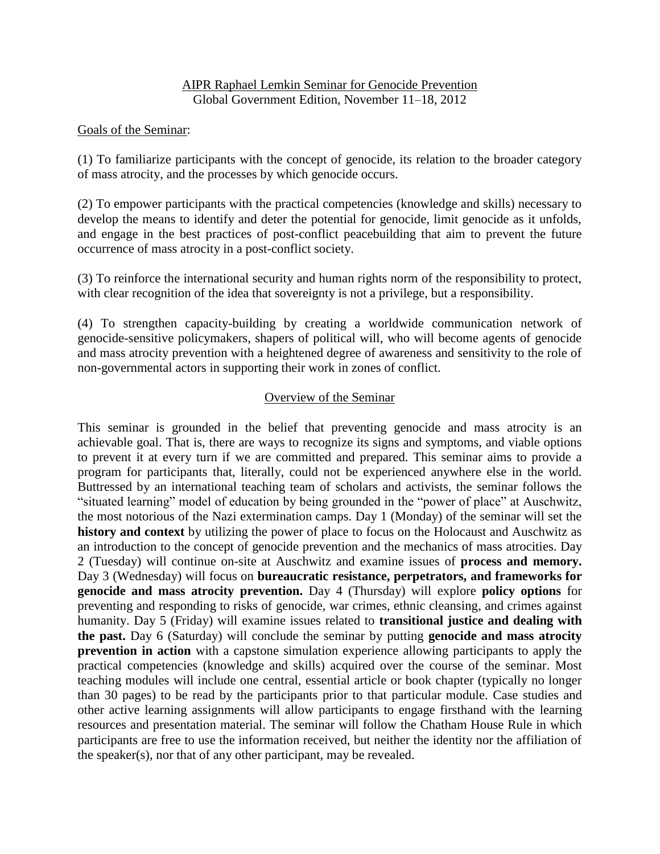## AIPR Raphael Lemkin Seminar for Genocide Prevention Global Government Edition, November 11–18, 2012

## Goals of the Seminar:

(1) To familiarize participants with the concept of genocide, its relation to the broader category of mass atrocity, and the processes by which genocide occurs.

(2) To empower participants with the practical competencies (knowledge and skills) necessary to develop the means to identify and deter the potential for genocide, limit genocide as it unfolds, and engage in the best practices of post-conflict peacebuilding that aim to prevent the future occurrence of mass atrocity in a post-conflict society.

(3) To reinforce the international security and human rights norm of the responsibility to protect, with clear recognition of the idea that sovereignty is not a privilege, but a responsibility.

(4) To strengthen capacity-building by creating a worldwide communication network of genocide-sensitive policymakers, shapers of political will, who will become agents of genocide and mass atrocity prevention with a heightened degree of awareness and sensitivity to the role of non-governmental actors in supporting their work in zones of conflict.

## Overview of the Seminar

This seminar is grounded in the belief that preventing genocide and mass atrocity is an achievable goal. That is, there are ways to recognize its signs and symptoms, and viable options to prevent it at every turn if we are committed and prepared. This seminar aims to provide a program for participants that, literally, could not be experienced anywhere else in the world. Buttressed by an international teaching team of scholars and activists, the seminar follows the "situated learning" model of education by being grounded in the "power of place" at Auschwitz, the most notorious of the Nazi extermination camps. Day 1 (Monday) of the seminar will set the **history and context** by utilizing the power of place to focus on the Holocaust and Auschwitz as an introduction to the concept of genocide prevention and the mechanics of mass atrocities. Day 2 (Tuesday) will continue on-site at Auschwitz and examine issues of **process and memory.** Day 3 (Wednesday) will focus on **bureaucratic resistance, perpetrators, and frameworks for genocide and mass atrocity prevention.** Day 4 (Thursday) will explore **policy options** for preventing and responding to risks of genocide, war crimes, ethnic cleansing, and crimes against humanity. Day 5 (Friday) will examine issues related to **transitional justice and dealing with the past.** Day 6 (Saturday) will conclude the seminar by putting **genocide and mass atrocity prevention in action** with a capstone simulation experience allowing participants to apply the practical competencies (knowledge and skills) acquired over the course of the seminar. Most teaching modules will include one central, essential article or book chapter (typically no longer than 30 pages) to be read by the participants prior to that particular module. Case studies and other active learning assignments will allow participants to engage firsthand with the learning resources and presentation material. The seminar will follow the Chatham House Rule in which participants are free to use the information received, but neither the identity nor the affiliation of the speaker(s), nor that of any other participant, may be revealed.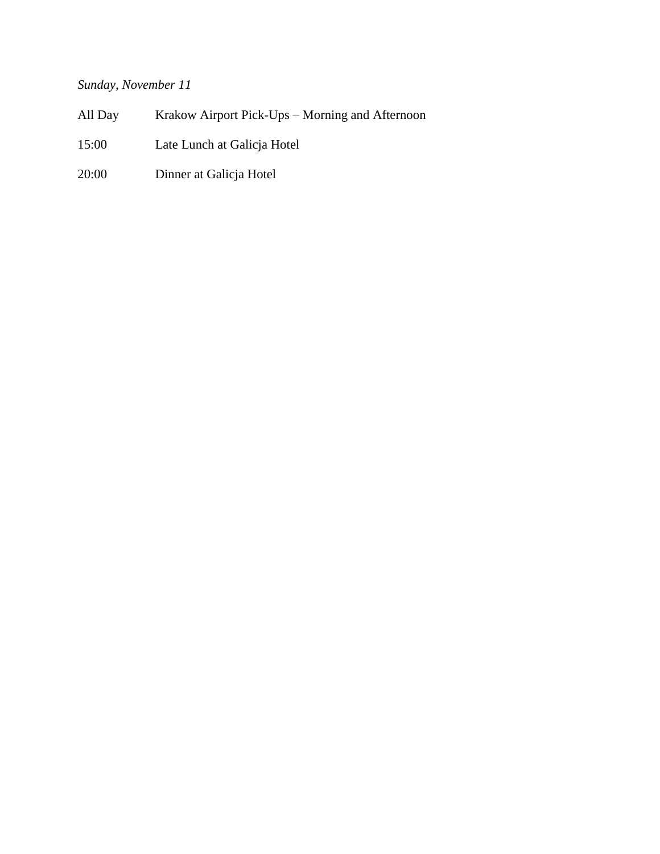# *Sunday, November 11*

| All Day | Krakow Airport Pick-Ups – Morning and Afternoon |
|---------|-------------------------------------------------|
| 15:00   | Late Lunch at Galicja Hotel                     |
| 20:00   | Dinner at Galicja Hotel                         |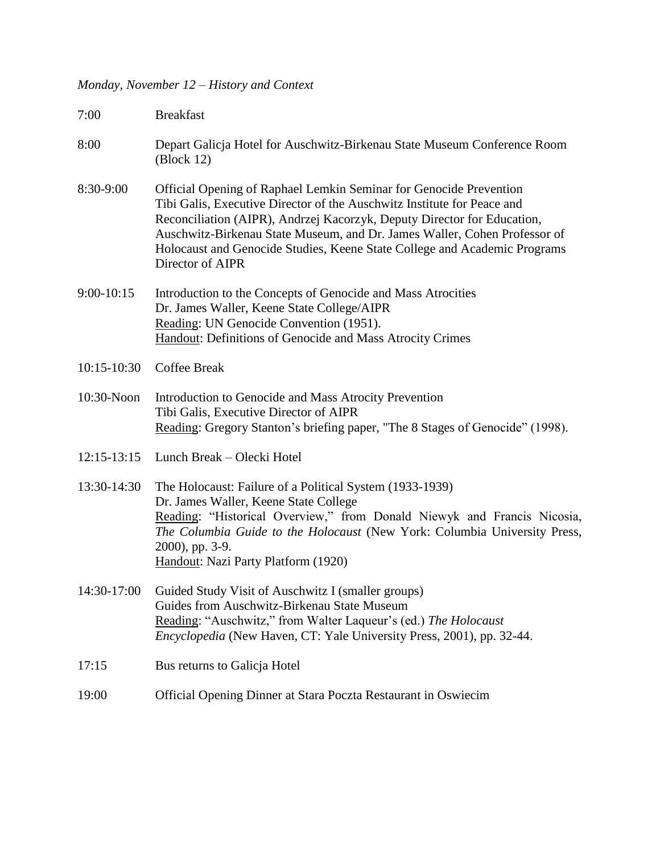## *Monday, November 12 – History and Context*

| 7:00            | <b>Breakfast</b>                                                                                                                                                                                                                                                                                                                                                                                       |
|-----------------|--------------------------------------------------------------------------------------------------------------------------------------------------------------------------------------------------------------------------------------------------------------------------------------------------------------------------------------------------------------------------------------------------------|
| 8:00            | Depart Galicja Hotel for Auschwitz-Birkenau State Museum Conference Room<br>$\left(\frac{\text{Block}}{12}\right)$                                                                                                                                                                                                                                                                                     |
| 8:30-9:00       | Official Opening of Raphael Lemkin Seminar for Genocide Prevention<br>Tibi Galis, Executive Director of the Auschwitz Institute for Peace and<br>Reconciliation (AIPR), Andrzej Kacorzyk, Deputy Director for Education,<br>Auschwitz-Birkenau State Museum, and Dr. James Waller, Cohen Professor of<br>Holocaust and Genocide Studies, Keene State College and Academic Programs<br>Director of AIPR |
| $9:00-10:15$    | Introduction to the Concepts of Genocide and Mass Atrocities<br>Dr. James Waller, Keene State College/AIPR<br>Reading: UN Genocide Convention (1951).<br>Handout: Definitions of Genocide and Mass Atrocity Crimes                                                                                                                                                                                     |
| $10:15 - 10:30$ | <b>Coffee Break</b>                                                                                                                                                                                                                                                                                                                                                                                    |
| 10:30-Noon      | Introduction to Genocide and Mass Atrocity Prevention<br>Tibi Galis, Executive Director of AIPR<br>Reading: Gregory Stanton's briefing paper, "The 8 Stages of Genocide" (1998).                                                                                                                                                                                                                       |
| $12:15 - 13:15$ | Lunch Break - Olecki Hotel                                                                                                                                                                                                                                                                                                                                                                             |
| 13:30-14:30     | The Holocaust: Failure of a Political System (1933-1939)<br>Dr. James Waller, Keene State College<br>Reading: "Historical Overview," from Donald Niewyk and Francis Nicosia,<br>The Columbia Guide to the Holocaust (New York: Columbia University Press,<br>2000), pp. 3-9.<br>Handout: Nazi Party Platform (1920)                                                                                    |
|                 | 14:30-17:00 Guided Study Visit of Auschwitz I (smaller groups)<br>Guides from Auschwitz-Birkenau State Museum<br>Reading: "Auschwitz," from Walter Laqueur's (ed.) The Holocaust<br><i>Encyclopedia</i> (New Haven, CT: Yale University Press, 2001), pp. 32-44.                                                                                                                                       |
| 17:15           | Bus returns to Galicja Hotel                                                                                                                                                                                                                                                                                                                                                                           |
| 19:00           | Official Opening Dinner at Stara Poczta Restaurant in Oswiecim                                                                                                                                                                                                                                                                                                                                         |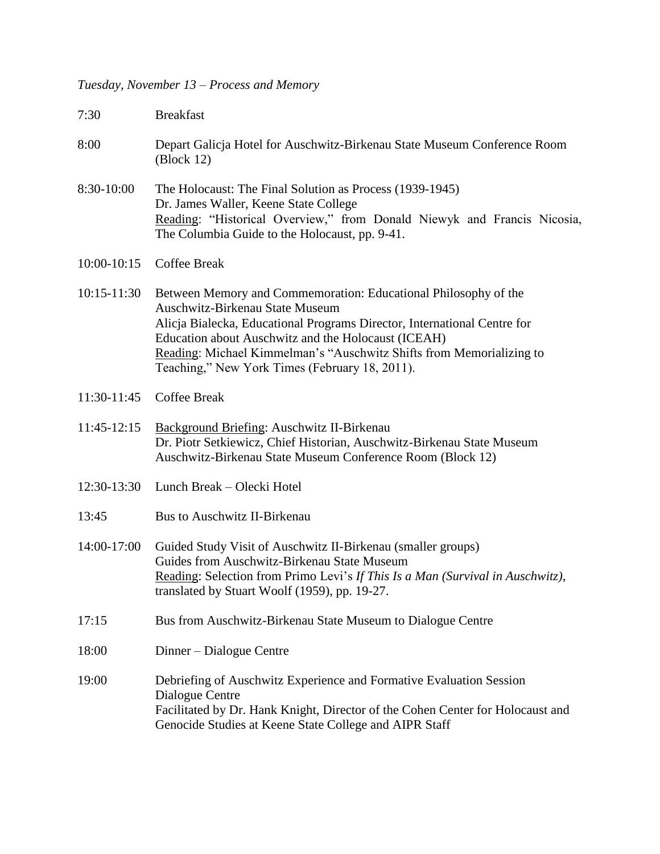#### *Tuesday, November 13 – Process and Memory*

- 7:30 Breakfast
- 8:00 Depart Galicja Hotel for Auschwitz-Birkenau State Museum Conference Room (Block 12)
- 8:30-10:00 The Holocaust: The Final Solution as Process (1939-1945) Dr. James Waller, Keene State College Reading: "Historical Overview," from Donald Niewyk and Francis Nicosia, The Columbia Guide to the Holocaust, pp. 9-41.
- 10:00-10:15 Coffee Break
- 10:15-11:30 Between Memory and Commemoration: Educational Philosophy of the Auschwitz-Birkenau State Museum Alicja Bialecka, Educational Programs Director, International Centre for Education about Auschwitz and the Holocaust (ICEAH) Reading: Michael Kimmelman's "Auschwitz Shifts from Memorializing to Teaching," New York Times (February 18, 2011).
- 11:30-11:45 Coffee Break
- 11:45-12:15 Background Briefing: Auschwitz II-Birkenau Dr. Piotr Setkiewicz, Chief Historian, Auschwitz-Birkenau State Museum Auschwitz-Birkenau State Museum Conference Room (Block 12)
- 12:30-13:30 Lunch Break Olecki Hotel
- 13:45 Bus to Auschwitz II-Birkenau
- 14:00-17:00 Guided Study Visit of Auschwitz II-Birkenau (smaller groups) Guides from Auschwitz-Birkenau State Museum Reading: Selection from Primo Levi's *If This Is a Man (Survival in Auschwitz)*, translated by Stuart Woolf (1959), pp. 19-27.
- 17:15 Bus from Auschwitz-Birkenau State Museum to Dialogue Centre
- 18:00 Dinner Dialogue Centre
- 19:00 Debriefing of Auschwitz Experience and Formative Evaluation Session Dialogue Centre Facilitated by Dr. Hank Knight, Director of the Cohen Center for Holocaust and Genocide Studies at Keene State College and AIPR Staff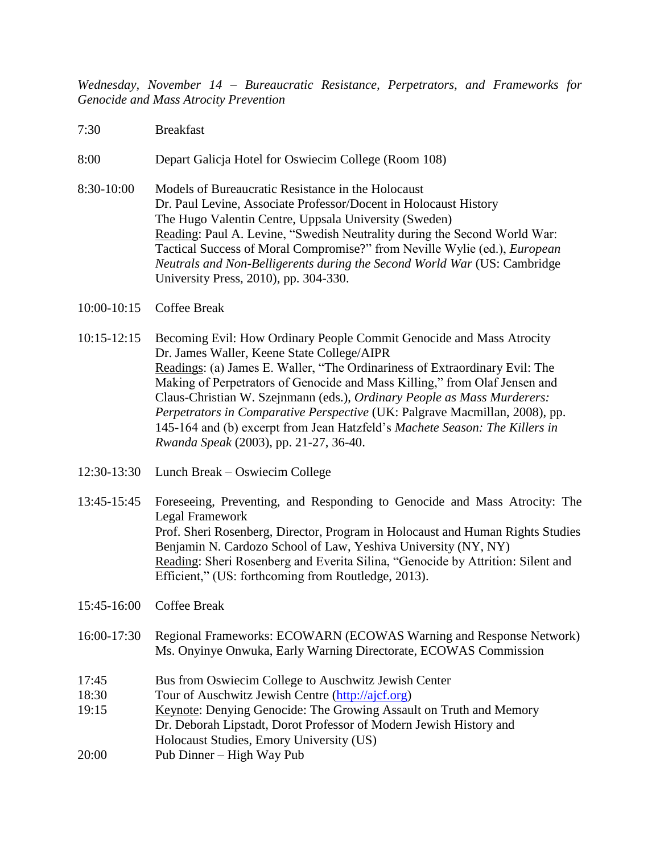*Wednesday, November 14 – Bureaucratic Resistance, Perpetrators, and Frameworks for Genocide and Mass Atrocity Prevention* 

- 7:30 Breakfast
- 8:00 Depart Galicja Hotel for Oswiecim College (Room 108)
- 8:30-10:00 Models of Bureaucratic Resistance in the Holocaust Dr. Paul Levine, Associate Professor/Docent in Holocaust History The Hugo Valentin Centre, Uppsala University (Sweden) Reading: Paul A. Levine, "Swedish Neutrality during the Second World War: Tactical Success of Moral Compromise?" from Neville Wylie (ed.), *European Neutrals and Non-Belligerents during the Second World War* (US: Cambridge University Press, 2010), pp. 304-330.
- 10:00-10:15 Coffee Break
- 10:15-12:15 Becoming Evil: How Ordinary People Commit Genocide and Mass Atrocity Dr. James Waller, Keene State College/AIPR Readings: (a) James E. Waller, "The Ordinariness of Extraordinary Evil: The Making of Perpetrators of Genocide and Mass Killing," from Olaf Jensen and Claus-Christian W. Szejnmann (eds.), *Ordinary People as Mass Murderers: Perpetrators in Comparative Perspective* (UK: Palgrave Macmillan, 2008), pp. 145-164 and (b) excerpt from Jean Hatzfeld's *Machete Season: The Killers in Rwanda Speak* (2003), pp. 21-27, 36-40.
- 12:30-13:30 Lunch Break Oswiecim College
- 13:45-15:45 Foreseeing, Preventing, and Responding to Genocide and Mass Atrocity: The Legal Framework Prof. Sheri Rosenberg, Director, Program in Holocaust and Human Rights Studies Benjamin N. Cardozo School of Law, Yeshiva University (NY, NY) Reading: Sheri Rosenberg and Everita Silina, "Genocide by Attrition: Silent and Efficient," (US: forthcoming from Routledge, 2013).
- 15:45-16:00 Coffee Break
- 16:00-17:30 Regional Frameworks: ECOWARN (ECOWAS Warning and Response Network) Ms. Onyinye Onwuka, Early Warning Directorate, ECOWAS Commission
- 17:45 Bus from Oswiecim College to Auschwitz Jewish Center
- 18:30 Tour of Auschwitz Jewish Centre [\(http://ajcf.org\)](http://ajcf.org/)
- 19:15 Keynote: Denying Genocide: The Growing Assault on Truth and Memory Dr. Deborah Lipstadt, Dorot Professor of Modern Jewish History and Holocaust Studies, Emory University (US)
- 20:00 Pub Dinner High Way Pub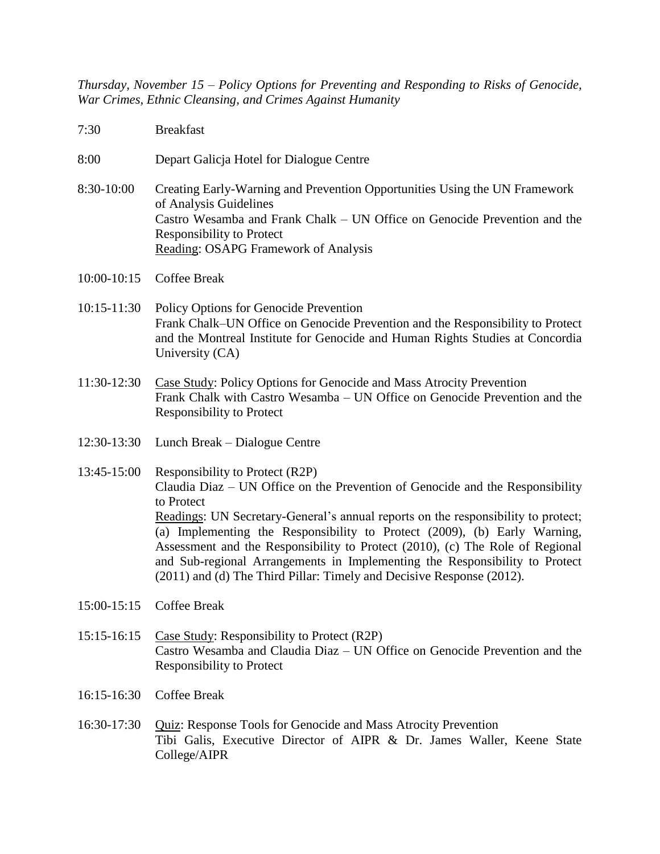*Thursday, November 15 – Policy Options for Preventing and Responding to Risks of Genocide, War Crimes, Ethnic Cleansing, and Crimes Against Humanity*

- 7:30 Breakfast
- 8:00 Depart Galicja Hotel for Dialogue Centre
- 8:30-10:00 Creating Early-Warning and Prevention Opportunities Using the UN Framework of Analysis Guidelines Castro Wesamba and Frank Chalk – UN Office on Genocide Prevention and the Responsibility to Protect Reading: OSAPG Framework of Analysis
- 10:00-10:15 Coffee Break
- 10:15-11:30 Policy Options for Genocide Prevention Frank Chalk–UN Office on Genocide Prevention and the Responsibility to Protect and the Montreal Institute for Genocide and Human Rights Studies at Concordia University (CA)
- 11:30-12:30 Case Study: Policy Options for Genocide and Mass Atrocity Prevention Frank Chalk with Castro Wesamba – UN Office on Genocide Prevention and the Responsibility to Protect
- 12:30-13:30 Lunch Break Dialogue Centre
- 13:45-15:00 Responsibility to Protect (R2P) Claudia Diaz – UN Office on the Prevention of Genocide and the Responsibility to Protect Readings: UN Secretary-General's annual reports on the responsibility to protect; (a) Implementing the Responsibility to Protect (2009), (b) Early Warning, Assessment and the Responsibility to Protect (2010), (c) The Role of Regional and Sub-regional Arrangements in Implementing the Responsibility to Protect (2011) and (d) The Third Pillar: Timely and Decisive Response (2012).
- 15:00-15:15 Coffee Break
- 15:15-16:15 Case Study: Responsibility to Protect (R2P) Castro Wesamba and Claudia Diaz – UN Office on Genocide Prevention and the Responsibility to Protect
- 16:15-16:30 Coffee Break
- 16:30-17:30 Quiz: Response Tools for Genocide and Mass Atrocity Prevention Tibi Galis, Executive Director of AIPR & Dr. James Waller, Keene State College/AIPR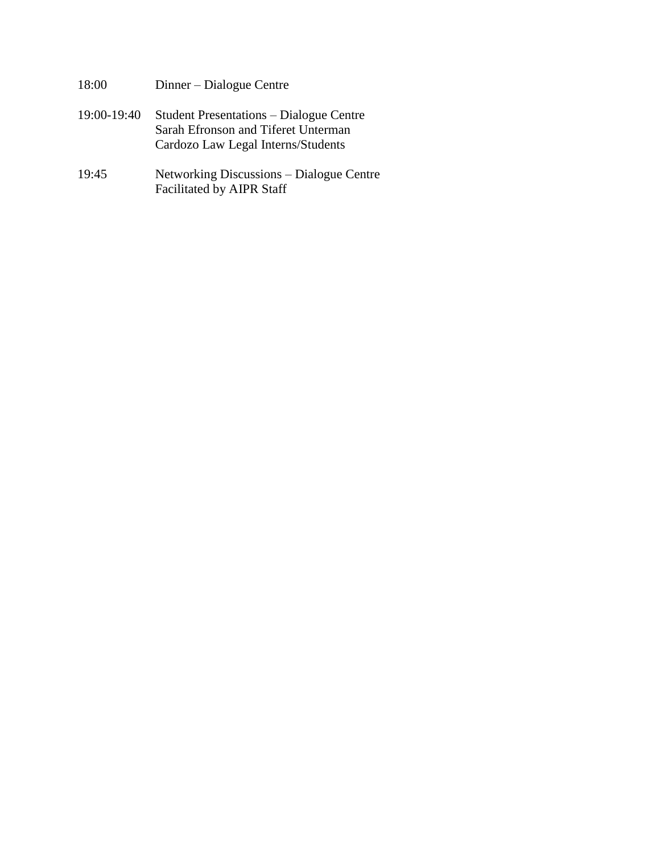- 18:00 Dinner Dialogue Centre
- 19:00-19:40 Student Presentations Dialogue Centre Sarah Efronson and Tiferet Unterman Cardozo Law Legal Interns/Students
- 19:45 Networking Discussions Dialogue Centre Facilitated by AIPR Staff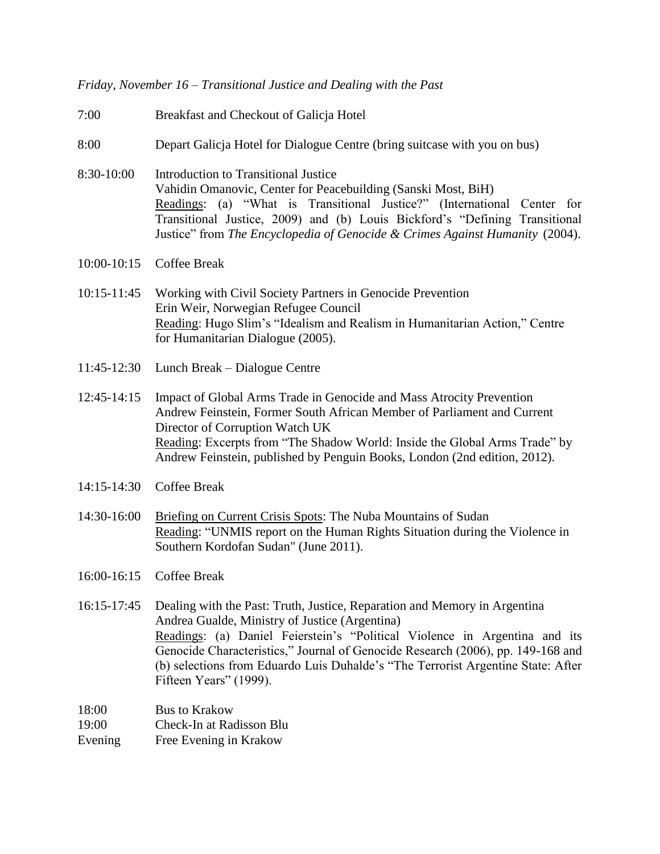*Friday, November 16 – Transitional Justice and Dealing with the Past*

- 7:00 Breakfast and Checkout of Galicja Hotel
- 8:00 Depart Galicja Hotel for Dialogue Centre (bring suitcase with you on bus)
- 8:30-10:00 Introduction to Transitional Justice Vahidin Omanovic, Center for Peacebuilding (Sanski Most, BiH) Readings: (a) "What is Transitional Justice?" (International Center for Transitional Justice, 2009) and (b) Louis Bickford's "Defining Transitional Justice" from *The Encyclopedia of Genocide & Crimes Against Humanity* (2004).
- 10:00-10:15 Coffee Break
- 10:15-11:45 Working with Civil Society Partners in Genocide Prevention Erin Weir, Norwegian Refugee Council Reading: Hugo Slim's "Idealism and Realism in Humanitarian Action," Centre for Humanitarian Dialogue (2005).
- 11:45-12:30 Lunch Break Dialogue Centre
- 12:45-14:15 Impact of Global Arms Trade in Genocide and Mass Atrocity Prevention Andrew Feinstein, Former South African Member of Parliament and Current Director of Corruption Watch UK Reading: Excerpts from "The Shadow World: Inside the Global Arms Trade" by Andrew Feinstein, published by Penguin Books, London (2nd edition, 2012).
- 14:15-14:30 Coffee Break
- 14:30-16:00 Briefing on Current Crisis Spots: The Nuba Mountains of Sudan Reading: "UNMIS report on the Human Rights Situation during the Violence in Southern Kordofan Sudan" (June 2011).
- 16:00-16:15 Coffee Break
- 16:15-17:45 Dealing with the Past: Truth, Justice, Reparation and Memory in Argentina Andrea Gualde, Ministry of Justice (Argentina) Readings: (a) Daniel Feierstein's "Political Violence in Argentina and its Genocide Characteristics," Journal of Genocide Research (2006), pp. 149-168 and (b) selections from Eduardo Luis Duhalde's "The Terrorist Argentine State: After Fifteen Years" (1999).

18:00 Bus to Krakow

19:00 Check-In at Radisson Blu

Evening Free Evening in Krakow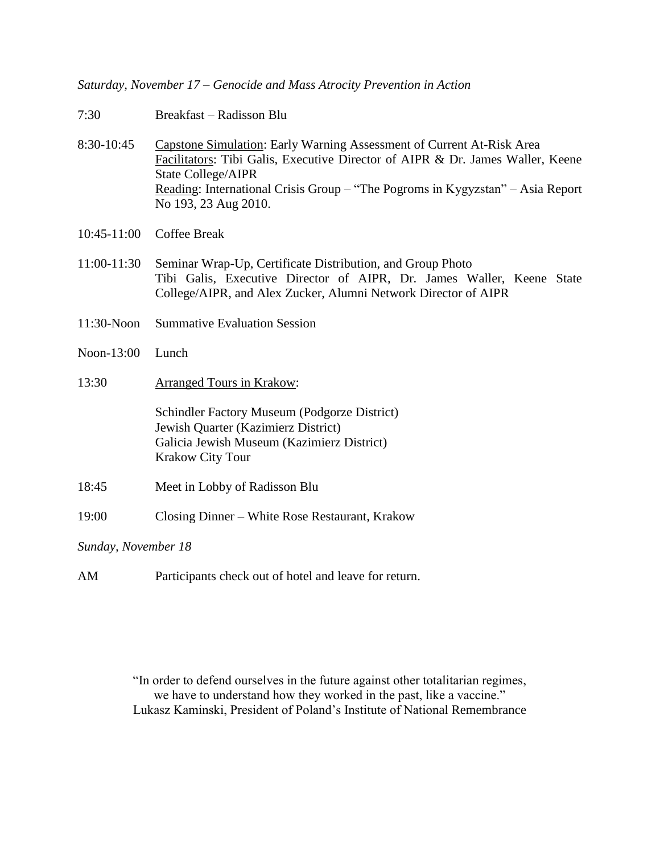*Saturday, November 17 – Genocide and Mass Atrocity Prevention in Action*

- 7:30 Breakfast Radisson Blu
- 8:30-10:45 Capstone Simulation: Early Warning Assessment of Current At-Risk Area Facilitators: Tibi Galis, Executive Director of AIPR & Dr. James Waller, Keene State College/AIPR Reading: International Crisis Group – "The Pogroms in Kygyzstan" – Asia Report No 193, 23 Aug 2010.
- 10:45-11:00 Coffee Break
- 11:00-11:30 Seminar Wrap-Up, Certificate Distribution, and Group Photo Tibi Galis, Executive Director of AIPR, Dr. James Waller, Keene State College/AIPR, and Alex Zucker, Alumni Network Director of AIPR
- 11:30-Noon Summative Evaluation Session
- Noon-13:00 Lunch
- 13:30 Arranged Tours in Krakow:

Schindler Factory Museum (Podgorze District) Jewish Quarter (Kazimierz District) Galicia Jewish Museum (Kazimierz District) Krakow City Tour

- 18:45 Meet in Lobby of Radisson Blu
- 19:00 Closing Dinner White Rose Restaurant, Krakow

*Sunday, November 18*

AM Participants check out of hotel and leave for return.

"In order to defend ourselves in the future against other totalitarian regimes, we have to understand how they worked in the past, like a vaccine." Lukasz Kaminski, President of Poland's Institute of National Remembrance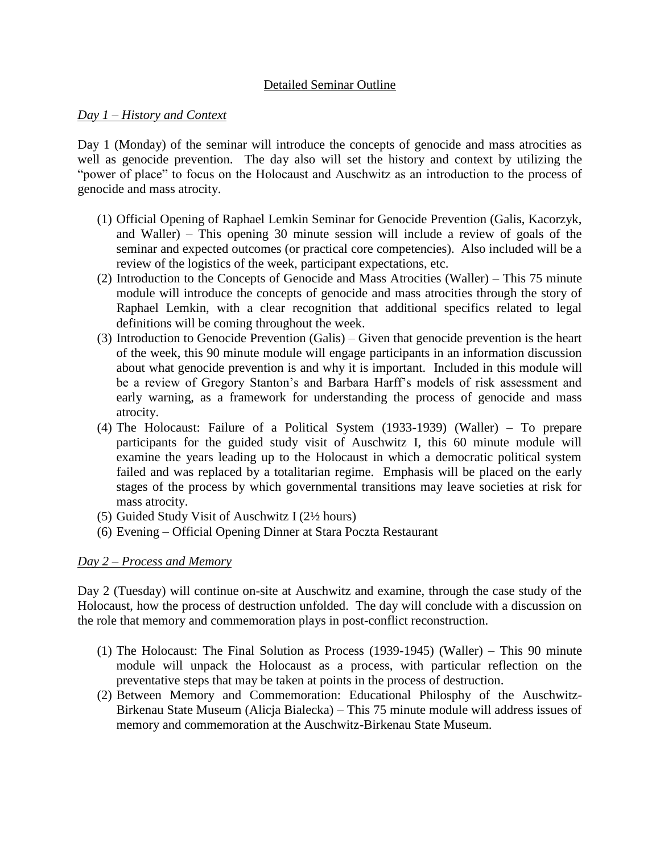## Detailed Seminar Outline

#### *Day 1 – History and Context*

Day 1 (Monday) of the seminar will introduce the concepts of genocide and mass atrocities as well as genocide prevention. The day also will set the history and context by utilizing the "power of place" to focus on the Holocaust and Auschwitz as an introduction to the process of genocide and mass atrocity.

- (1) Official Opening of Raphael Lemkin Seminar for Genocide Prevention (Galis, Kacorzyk, and Waller) – This opening 30 minute session will include a review of goals of the seminar and expected outcomes (or practical core competencies). Also included will be a review of the logistics of the week, participant expectations, etc.
- (2) Introduction to the Concepts of Genocide and Mass Atrocities (Waller) This 75 minute module will introduce the concepts of genocide and mass atrocities through the story of Raphael Lemkin, with a clear recognition that additional specifics related to legal definitions will be coming throughout the week.
- (3) Introduction to Genocide Prevention (Galis) Given that genocide prevention is the heart of the week, this 90 minute module will engage participants in an information discussion about what genocide prevention is and why it is important. Included in this module will be a review of Gregory Stanton's and Barbara Harff's models of risk assessment and early warning, as a framework for understanding the process of genocide and mass atrocity.
- (4) The Holocaust: Failure of a Political System (1933-1939) (Waller) To prepare participants for the guided study visit of Auschwitz I, this 60 minute module will examine the years leading up to the Holocaust in which a democratic political system failed and was replaced by a totalitarian regime. Emphasis will be placed on the early stages of the process by which governmental transitions may leave societies at risk for mass atrocity.
- (5) Guided Study Visit of Auschwitz I (2½ hours)
- (6) Evening Official Opening Dinner at Stara Poczta Restaurant

## *Day 2 – Process and Memory*

Day 2 (Tuesday) will continue on-site at Auschwitz and examine, through the case study of the Holocaust, how the process of destruction unfolded. The day will conclude with a discussion on the role that memory and commemoration plays in post-conflict reconstruction.

- (1) The Holocaust: The Final Solution as Process (1939-1945) (Waller) This 90 minute module will unpack the Holocaust as a process, with particular reflection on the preventative steps that may be taken at points in the process of destruction.
- (2) Between Memory and Commemoration: Educational Philosphy of the Auschwitz-Birkenau State Museum (Alicja Bialecka) – This 75 minute module will address issues of memory and commemoration at the Auschwitz-Birkenau State Museum.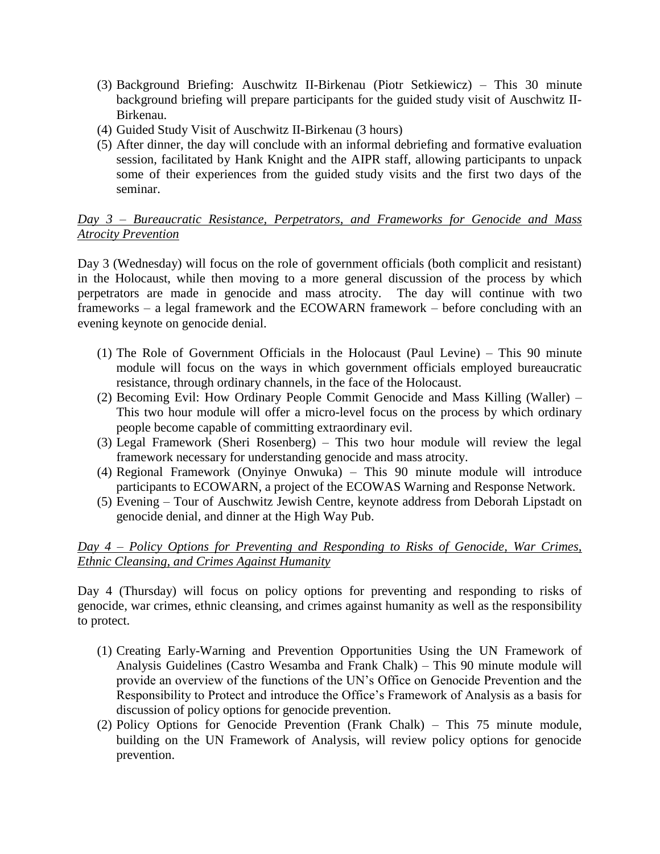- (3) Background Briefing: Auschwitz II-Birkenau (Piotr Setkiewicz) This 30 minute background briefing will prepare participants for the guided study visit of Auschwitz II-Birkenau.
- (4) Guided Study Visit of Auschwitz II-Birkenau (3 hours)
- (5) After dinner, the day will conclude with an informal debriefing and formative evaluation session, facilitated by Hank Knight and the AIPR staff, allowing participants to unpack some of their experiences from the guided study visits and the first two days of the seminar.

## *Day 3 – Bureaucratic Resistance, Perpetrators, and Frameworks for Genocide and Mass Atrocity Prevention*

Day 3 (Wednesday) will focus on the role of government officials (both complicit and resistant) in the Holocaust, while then moving to a more general discussion of the process by which perpetrators are made in genocide and mass atrocity. The day will continue with two frameworks – a legal framework and the ECOWARN framework – before concluding with an evening keynote on genocide denial.

- (1) The Role of Government Officials in the Holocaust (Paul Levine) This 90 minute module will focus on the ways in which government officials employed bureaucratic resistance, through ordinary channels, in the face of the Holocaust.
- (2) Becoming Evil: How Ordinary People Commit Genocide and Mass Killing (Waller) This two hour module will offer a micro-level focus on the process by which ordinary people become capable of committing extraordinary evil.
- (3) Legal Framework (Sheri Rosenberg) This two hour module will review the legal framework necessary for understanding genocide and mass atrocity.
- (4) Regional Framework (Onyinye Onwuka) This 90 minute module will introduce participants to ECOWARN, a project of the ECOWAS Warning and Response Network.
- (5) Evening Tour of Auschwitz Jewish Centre, keynote address from Deborah Lipstadt on genocide denial, and dinner at the High Way Pub.

## *Day 4 – Policy Options for Preventing and Responding to Risks of Genocide, War Crimes, Ethnic Cleansing, and Crimes Against Humanity*

Day 4 (Thursday) will focus on policy options for preventing and responding to risks of genocide, war crimes, ethnic cleansing, and crimes against humanity as well as the responsibility to protect.

- (1) Creating Early-Warning and Prevention Opportunities Using the UN Framework of Analysis Guidelines (Castro Wesamba and Frank Chalk) – This 90 minute module will provide an overview of the functions of the UN's Office on Genocide Prevention and the Responsibility to Protect and introduce the Office's Framework of Analysis as a basis for discussion of policy options for genocide prevention.
- (2) Policy Options for Genocide Prevention (Frank Chalk) This 75 minute module, building on the UN Framework of Analysis, will review policy options for genocide prevention.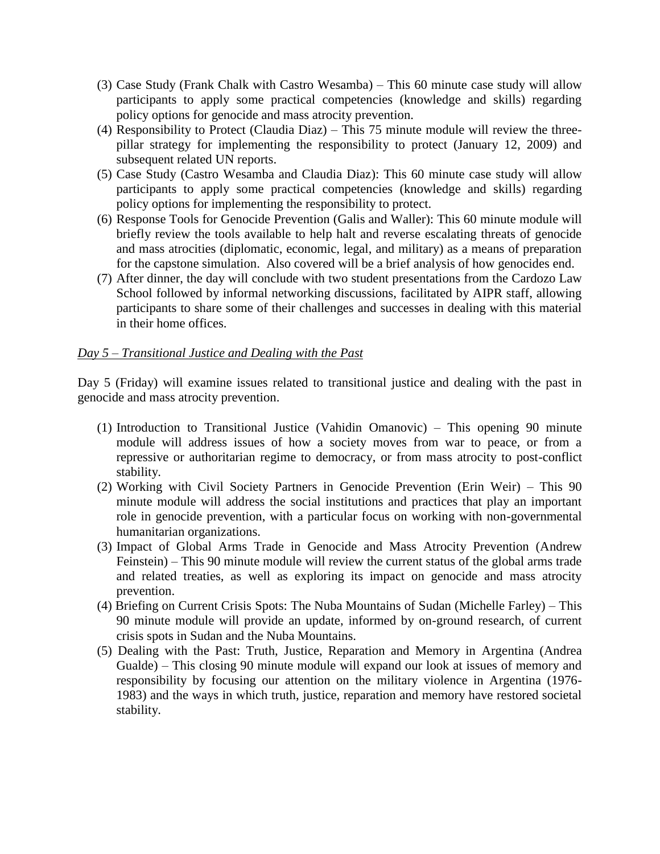- (3) Case Study (Frank Chalk with Castro Wesamba) This 60 minute case study will allow participants to apply some practical competencies (knowledge and skills) regarding policy options for genocide and mass atrocity prevention.
- (4) Responsibility to Protect (Claudia Diaz) This 75 minute module will review the threepillar strategy for implementing the responsibility to protect (January 12, 2009) and subsequent related UN reports.
- (5) Case Study (Castro Wesamba and Claudia Diaz): This 60 minute case study will allow participants to apply some practical competencies (knowledge and skills) regarding policy options for implementing the responsibility to protect.
- (6) Response Tools for Genocide Prevention (Galis and Waller): This 60 minute module will briefly review the tools available to help halt and reverse escalating threats of genocide and mass atrocities (diplomatic, economic, legal, and military) as a means of preparation for the capstone simulation. Also covered will be a brief analysis of how genocides end.
- (7) After dinner, the day will conclude with two student presentations from the Cardozo Law School followed by informal networking discussions, facilitated by AIPR staff, allowing participants to share some of their challenges and successes in dealing with this material in their home offices.

#### *Day 5 – Transitional Justice and Dealing with the Past*

Day 5 (Friday) will examine issues related to transitional justice and dealing with the past in genocide and mass atrocity prevention.

- (1) Introduction to Transitional Justice (Vahidin Omanovic) This opening 90 minute module will address issues of how a society moves from war to peace, or from a repressive or authoritarian regime to democracy, or from mass atrocity to post-conflict stability.
- (2) Working with Civil Society Partners in Genocide Prevention (Erin Weir) This 90 minute module will address the social institutions and practices that play an important role in genocide prevention, with a particular focus on working with non-governmental humanitarian organizations.
- (3) Impact of Global Arms Trade in Genocide and Mass Atrocity Prevention (Andrew Feinstein) – This 90 minute module will review the current status of the global arms trade and related treaties, as well as exploring its impact on genocide and mass atrocity prevention.
- (4) Briefing on Current Crisis Spots: The Nuba Mountains of Sudan (Michelle Farley) This 90 minute module will provide an update, informed by on-ground research, of current crisis spots in Sudan and the Nuba Mountains.
- (5) Dealing with the Past: Truth, Justice, Reparation and Memory in Argentina (Andrea Gualde) – This closing 90 minute module will expand our look at issues of memory and responsibility by focusing our attention on the military violence in Argentina (1976- 1983) and the ways in which truth, justice, reparation and memory have restored societal stability.